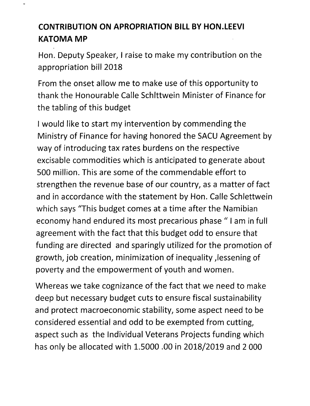## **CONTRIBUTION ON APROPRIATION BILL BY HON.LEEVI KATOMAMP**

Hon. Deputy Speaker, I raise to make my contribution on the appropriation bill 2018

From the onset allow me to make use of this opportunity to thank the Honourable Calle Schlttwein Minister of Finance for the tabling of this budget

I would like to start my intervention by commending the Ministry of Finance for having honored the SACU Agreement by way of introducing tax rates burdens on the respective excisable commodities which is anticipated to generate about 500 million. This are some of the commendable effort to strengthen the revenue base of our country, as a matter of fact and in accordance with the statement by Hon. Calle Schlettwein which says "This budget comes at a time after the Namibian economy hand endured its most precarious phase" I am in full agreement with the fact that this budget odd to ensure that funding are directed and sparingly utilized for the promotion of growth, job creation, minimization of inequality ,lessening of poverty and the empowerment of youth and women.

Whereas we take cognizance of the fact that we need to make deep but necessary budget cuts to ensure fiscal sustainability and protect macroeconomic stability, some aspect need to be considered essential and odd to be exempted from cutting, aspect such as the Individual Veterans Projects funding which has only be allocated with 1.5000 .00 in 2018/2019 and 2 000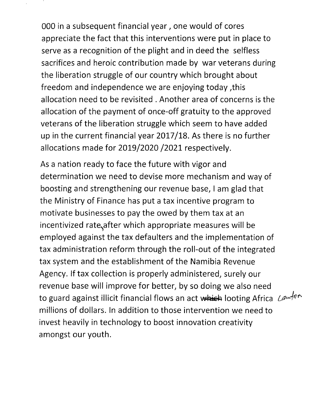000 in a subsequent financial year, one would of cores appreciate the fact that this interventions were put in place to serve as a recognition of the plight and in deed the selfless sacrifices and heroic contribution made by war veterans during the liberation struggle of our country which brought about freedom and independence we are enjoying today ,this allocation need to be revisited. Another area of concerns is the allocation of the payment of once-off gratuity to the approved veterans of the liberation struggle which seem to have added up in the current financial year 2017/18. As there is no further allocations made for 2019/2020/2021 respectively.

As a nation ready to face the future with vigor and determination we need to devise more mechanism and way of boosting and strengthening our revenue base, I am glad that the Ministry of Finance has put a tax incentive program to motivate businesses to pay the owed by them tax at an incentivized rate, after which appropriate measures will be employed against the tax defaulters and the implementation of tax administration reform through the roll-out of the integrated tax system and the establishment of the Namibia Revenue Agency. If tax collection is properly administered, surely our revenue base will improve for better, by so doing we also need to guard against illicit financial flows an act which looting Africa Lawfno millions of dollars. In addition to those intervention we need to invest heavily in technology to boost innovation creativity amongst our youth.